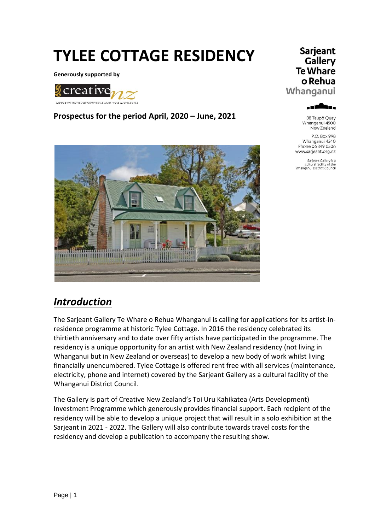# **TYLEE COTTAGE RESIDENCY**

**Generously supported by**



#### **Prospectus for the period April, 2020 – June, 2021**



# *Introduction*

The Sarjeant Gallery Te Whare o Rehua Whanganui is calling for applications for its artist-inresidence programme at historic Tylee Cottage. In 2016 the residency celebrated its thirtieth anniversary and to date over fifty artists have participated in the programme. The residency is a unique opportunity for an artist with New Zealand residency (not living in Whanganui but in New Zealand or overseas) to develop a new body of work whilst living financially unencumbered. Tylee Cottage is offered rent free with all services (maintenance, electricity, phone and internet) covered by the Sarjeant Gallery as a cultural facility of the Whanganui District Council.

The Gallery is part of Creative New Zealand's Toi Uru Kahikatea (Arts Development) Investment Programme which generously provides financial support. Each recipient of the residency will be able to develop a unique project that will result in a solo exhibition at the Sarjeant in 2021 - 2022. The Gallery will also contribute towards travel costs for the residency and develop a publication to accompany the resulting show.

#### Sarjeant Gallery **Te Whare** o Rehua Whanganui



38 Taupō Quay Whanganui 4500 New Zealand

P.O. Box 998 Whanganui 4540 Phone 06 349 0506 www.sarjeant.org.nz

Sarjeant Gallery is a<br>cultural facility of the<br>Whanganui District Council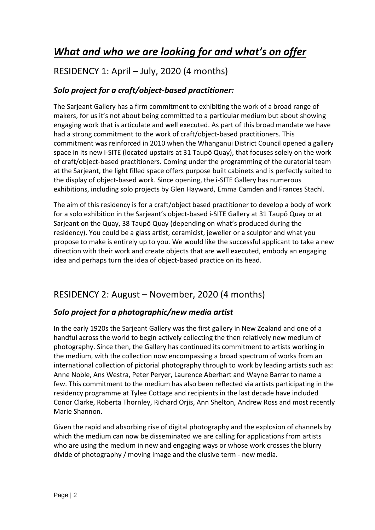# *What and who we are looking for and what's on offer*

# RESIDENCY 1: April – July, 2020 (4 months)

#### *Solo project for a craft/object-based practitioner:*

The Sarjeant Gallery has a firm commitment to exhibiting the work of a broad range of makers, for us it's not about being committed to a particular medium but about showing engaging work that is articulate and well executed. As part of this broad mandate we have had a strong commitment to the work of craft/object-based practitioners. This commitment was reinforced in 2010 when the Whanganui District Council opened a gallery space in its new i-SITE (located upstairs at 31 Taupō Quay), that focuses solely on the work of craft/object-based practitioners. Coming under the programming of the curatorial team at the Sarjeant, the light filled space offers purpose built cabinets and is perfectly suited to the display of object-based work. Since opening, the i-SITE Gallery has numerous exhibitions, including solo projects by Glen Hayward, Emma Camden and Frances Stachl.

The aim of this residency is for a craft/object based practitioner to develop a body of work for a solo exhibition in the Sarjeant's object-based i-SITE Gallery at 31 Taupō Quay or at Sarjeant on the Quay, 38 Taupō Quay (depending on what's produced during the residency). You could be a glass artist, ceramicist, jeweller or a sculptor and what you propose to make is entirely up to you. We would like the successful applicant to take a new direction with their work and create objects that are well executed, embody an engaging idea and perhaps turn the idea of object-based practice on its head.

# RESIDENCY 2: August – November, 2020 (4 months)

#### *Solo project for a photographic/new media artist*

In the early 1920s the Sarjeant Gallery was the first gallery in New Zealand and one of a handful across the world to begin actively collecting the then relatively new medium of photography. Since then, the Gallery has continued its commitment to artists working in the medium, with the collection now encompassing a broad spectrum of works from an international collection of pictorial photography through to work by leading artists such as: Anne Noble, Ans Westra, Peter Peryer, Laurence Aberhart and Wayne Barrar to name a few. This commitment to the medium has also been reflected via artists participating in the residency programme at Tylee Cottage and recipients in the last decade have included Conor Clarke, Roberta Thornley, Richard Orjis, Ann Shelton, Andrew Ross and most recently Marie Shannon.

Given the rapid and absorbing rise of digital photography and the explosion of channels by which the medium can now be disseminated we are calling for applications from artists who are using the medium in new and engaging ways or whose work crosses the blurry divide of photography / moving image and the elusive term - new media.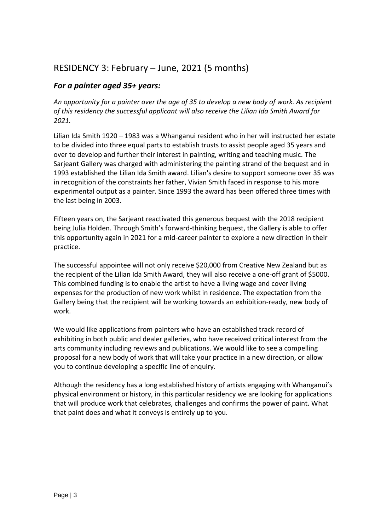### RESIDENCY 3: February – June, 2021 (5 months)

#### *For a painter aged 35+ years:*

*An opportunity for a painter over the age of 35 to develop a new body of work. As recipient of this residency the successful applicant will also receive the Lilian Ida Smith Award for 2021.* 

Lilian Ida Smith 1920 – 1983 was a Whanganui resident who in her will instructed her estate to be divided into three equal parts to establish trusts to assist people aged 35 years and over to develop and further their interest in painting, writing and teaching music. The Sarjeant Gallery was charged with administering the painting strand of the bequest and in 1993 established the Lilian Ida Smith award. Lilian's desire to support someone over 35 was in recognition of the constraints her father, Vivian Smith faced in response to his more experimental output as a painter. Since 1993 the award has been offered three times with the last being in 2003.

Fifteen years on, the Sarjeant reactivated this generous bequest with the 2018 recipient being Julia Holden. Through Smith's forward-thinking bequest, the Gallery is able to offer this opportunity again in 2021 for a mid-career painter to explore a new direction in their practice.

The successful appointee will not only receive \$20,000 from Creative New Zealand but as the recipient of the Lilian Ida Smith Award, they will also receive a one-off grant of \$5000. This combined funding is to enable the artist to have a living wage and cover living expenses for the production of new work whilst in residence. The expectation from the Gallery being that the recipient will be working towards an exhibition-ready, new body of work.

We would like applications from painters who have an established track record of exhibiting in both public and dealer galleries, who have received critical interest from the arts community including reviews and publications. We would like to see a compelling proposal for a new body of work that will take your practice in a new direction, or allow you to continue developing a specific line of enquiry.

Although the residency has a long established history of artists engaging with Whanganui's physical environment or history, in this particular residency we are looking for applications that will produce work that celebrates, challenges and confirms the power of paint. What that paint does and what it conveys is entirely up to you.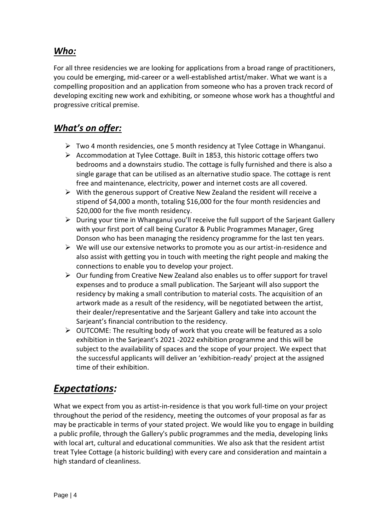### *Who:*

For all three residencies we are looking for applications from a broad range of practitioners, you could be emerging, mid-career or a well-established artist/maker. What we want is a compelling proposition and an application from someone who has a proven track record of developing exciting new work and exhibiting, or someone whose work has a thoughtful and progressive critical premise.

### *What's on offer:*

- $\triangleright$  Two 4 month residencies, one 5 month residency at Tylee Cottage in Whanganui.
- $\triangleright$  Accommodation at Tylee Cottage. Built in 1853, this historic cottage offers two bedrooms and a downstairs studio. The cottage is fully furnished and there is also a single garage that can be utilised as an alternative studio space. The cottage is rent free and maintenance, electricity, power and internet costs are all covered.
- $\triangleright$  With the generous support of Creative New Zealand the resident will receive a stipend of \$4,000 a month, totaling \$16,000 for the four month residencies and \$20,000 for the five month residency.
- $\triangleright$  During your time in Whanganui you'll receive the full support of the Sarjeant Gallery with your first port of call being Curator & Public Programmes Manager, Greg Donson who has been managing the residency programme for the last ten years.
- $\triangleright$  We will use our extensive networks to promote you as our artist-in-residence and also assist with getting you in touch with meeting the right people and making the connections to enable you to develop your project.
- $\triangleright$  Our funding from Creative New Zealand also enables us to offer support for travel expenses and to produce a small publication. The Sarjeant will also support the residency by making a small contribution to material costs. The acquisition of an artwork made as a result of the residency, will be negotiated between the artist, their dealer/representative and the Sarjeant Gallery and take into account the Sarjeant's financial contribution to the residency.
- $\triangleright$  OUTCOME: The resulting body of work that you create will be featured as a solo exhibition in the Sarjeant's 2021 -2022 exhibition programme and this will be subject to the availability of spaces and the scope of your project. We expect that the successful applicants will deliver an 'exhibition-ready' project at the assigned time of their exhibition.

# *Expectations:*

What we expect from you as artist-in-residence is that you work full-time on your project throughout the period of the residency, meeting the outcomes of your proposal as far as may be practicable in terms of your stated project. We would like you to engage in building a public profile, through the Gallery's public programmes and the media, developing links with local art, cultural and educational communities. We also ask that the resident artist treat Tylee Cottage (a historic building) with every care and consideration and maintain a high standard of cleanliness.